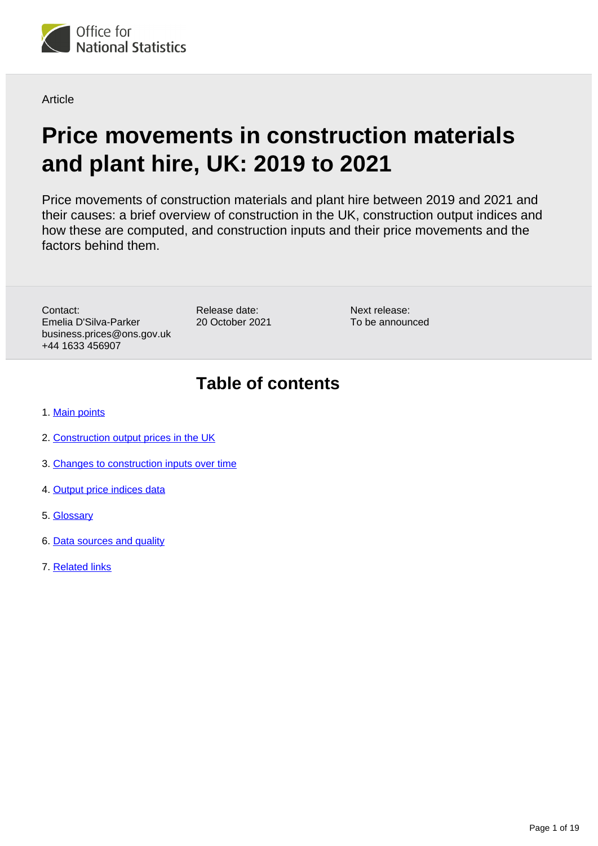

**Article** 

# **Price movements in construction materials and plant hire, UK: 2019 to 2021**

Price movements of construction materials and plant hire between 2019 and 2021 and their causes: a brief overview of construction in the UK, construction output indices and how these are computed, and construction inputs and their price movements and the factors behind them.

Contact: Emelia D'Silva-Parker business.prices@ons.gov.uk +44 1633 456907

Release date: 20 October 2021

Next release: To be announced

## **Table of contents**

- 1. [Main points](#page-1-0)
- 2. [Construction output prices in the UK](#page-2-0)
- 3. [Changes to construction inputs over time](#page-3-0)
- 4. [Output price indices data](#page-15-0)
- 5. [Glossary](#page-15-1)
- 6. [Data sources and quality](#page-15-2)
- 7. [Related links](#page-18-0)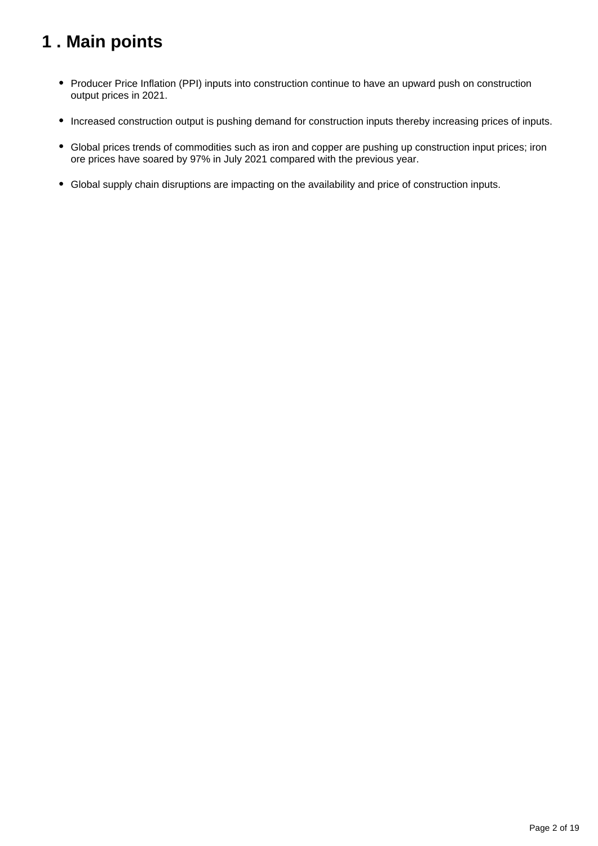## <span id="page-1-0"></span>**1 . Main points**

- Producer Price Inflation (PPI) inputs into construction continue to have an upward push on construction output prices in 2021.
- Increased construction output is pushing demand for construction inputs thereby increasing prices of inputs.
- Global prices trends of commodities such as iron and copper are pushing up construction input prices; iron ore prices have soared by 97% in July 2021 compared with the previous year.
- Global supply chain disruptions are impacting on the availability and price of construction inputs.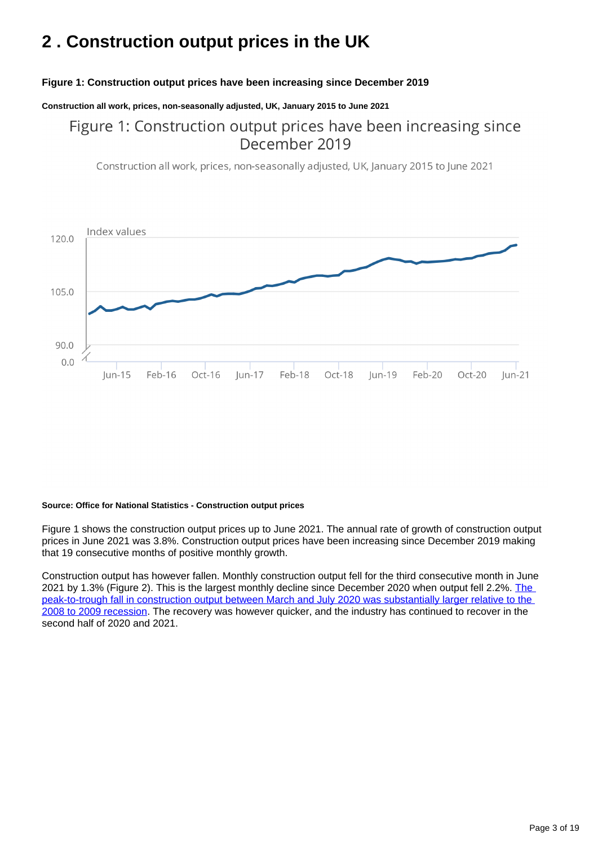## <span id="page-2-0"></span>**2 . Construction output prices in the UK**

#### **Figure 1: Construction output prices have been increasing since December 2019**

#### **Construction all work, prices, non-seasonally adjusted, UK, January 2015 to June 2021**

## Figure 1: Construction output prices have been increasing since December 2019

Construction all work, prices, non-seasonally adjusted, UK, January 2015 to June 2021



#### **Source: Office for National Statistics - Construction output prices**

Figure 1 shows the construction output prices up to June 2021. The annual rate of growth of construction output prices in June 2021 was 3.8%. Construction output prices have been increasing since December 2019 making that 19 consecutive months of positive monthly growth.

Construction output has however fallen. Monthly construction output fell for the third consecutive month in June 2021 by 1.3% (Figure 2). This is the largest monthly decline since December 2020 when output fell 2.2%. The [peak-to-trough fall in construction output between March and July 2020 was substantially larger relative to the](https://www.ons.gov.uk/businessindustryandtrade/constructionindustry/bulletins/constructionoutputingreatbritain/june2021newordersandconstructionoutputpriceindicesapriltojune2021#coronavirus-pandemic-2020-to-2021-compared-with-recession-2008-to-2009)  [2008 to 2009 recession.](https://www.ons.gov.uk/businessindustryandtrade/constructionindustry/bulletins/constructionoutputingreatbritain/june2021newordersandconstructionoutputpriceindicesapriltojune2021#coronavirus-pandemic-2020-to-2021-compared-with-recession-2008-to-2009) The recovery was however quicker, and the industry has continued to recover in the second half of 2020 and 2021.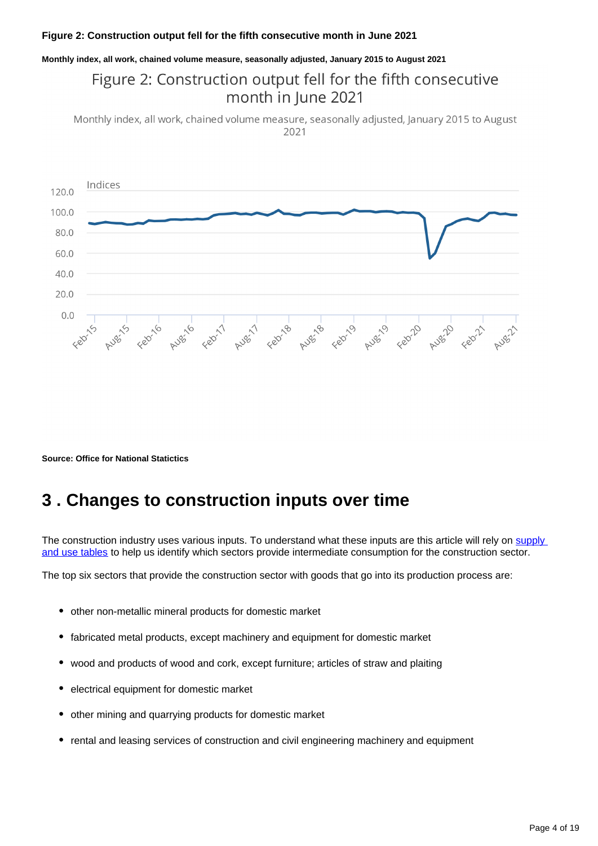#### **Figure 2: Construction output fell for the fifth consecutive month in June 2021**

#### **Monthly index, all work, chained volume measure, seasonally adjusted, January 2015 to August 2021**

## Figure 2: Construction output fell for the fifth consecutive month in June 2021

Monthly index, all work, chained volume measure, seasonally adjusted, January 2015 to August 2021



**Source: Office for National Statictics**

## <span id="page-3-0"></span>**3 . Changes to construction inputs over time**

The construction industry uses various inputs. To understand what these inputs are this article will rely on supply [and use tables](https://www.ons.gov.uk/economy/nationalaccounts/supplyandusetables/datasets/inputoutputsupplyandusetables) to help us identify which sectors provide intermediate consumption for the construction sector.

The top six sectors that provide the construction sector with goods that go into its production process are:

- $\bullet$ other non-metallic mineral products for domestic market
- fabricated metal products, except machinery and equipment for domestic market
- wood and products of wood and cork, except furniture; articles of straw and plaiting
- electrical equipment for domestic market  $\bullet$
- other mining and quarrying products for domestic market
- rental and leasing services of construction and civil engineering machinery and equipment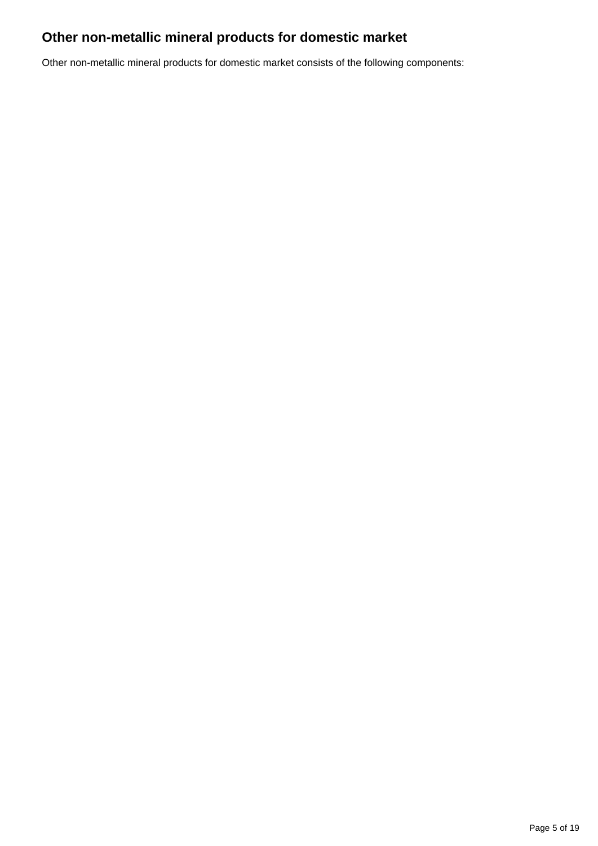## **Other non-metallic mineral products for domestic market**

Other non-metallic mineral products for domestic market consists of the following components: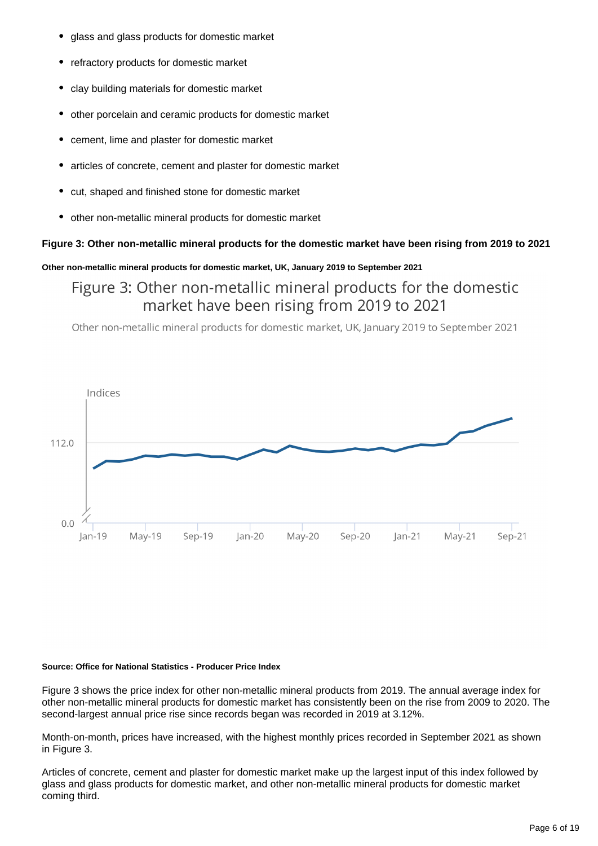- glass and glass products for domestic market
- refractory products for domestic market
- clay building materials for domestic market
- other porcelain and ceramic products for domestic market  $\bullet$
- cement, lime and plaster for domestic market
- articles of concrete, cement and plaster for domestic market
- cut, shaped and finished stone for domestic market
- other non-metallic mineral products for domestic market

#### **Figure 3: Other non-metallic mineral products for the domestic market have been rising from 2019 to 2021**

#### **Other non-metallic mineral products for domestic market, UK, January 2019 to September 2021**

## Figure 3: Other non-metallic mineral products for the domestic market have been rising from 2019 to 2021

Other non-metallic mineral products for domestic market, UK, January 2019 to September 2021



#### **Source: Office for National Statistics - Producer Price Index**

Figure 3 shows the price index for other non-metallic mineral products from 2019. The annual average index for other non-metallic mineral products for domestic market has consistently been on the rise from 2009 to 2020. The second-largest annual price rise since records began was recorded in 2019 at 3.12%.

Month-on-month, prices have increased, with the highest monthly prices recorded in September 2021 as shown in Figure 3.

Articles of concrete, cement and plaster for domestic market make up the largest input of this index followed by glass and glass products for domestic market, and other non-metallic mineral products for domestic market coming third.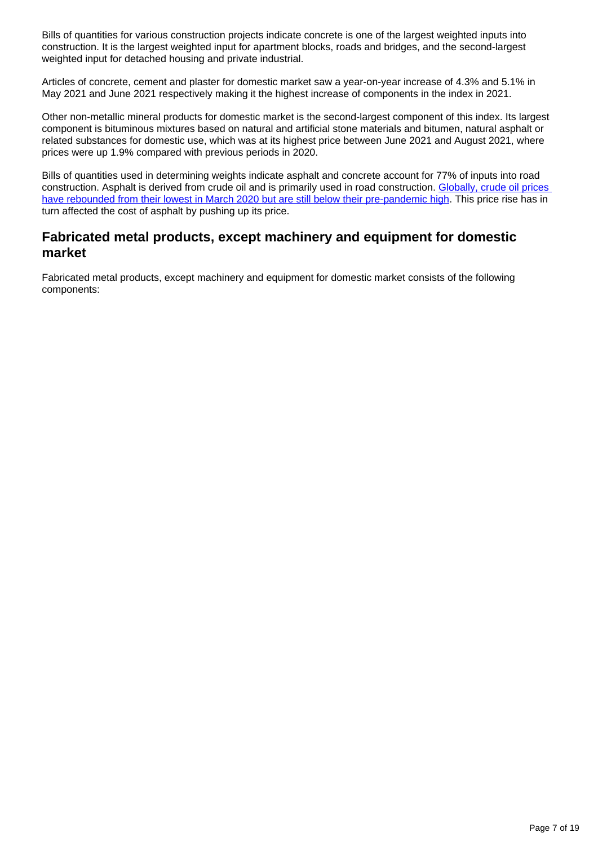Bills of quantities for various construction projects indicate concrete is one of the largest weighted inputs into construction. It is the largest weighted input for apartment blocks, roads and bridges, and the second-largest weighted input for detached housing and private industrial.

Articles of concrete, cement and plaster for domestic market saw a year-on-year increase of 4.3% and 5.1% in May 2021 and June 2021 respectively making it the highest increase of components in the index in 2021.

Other non-metallic mineral products for domestic market is the second-largest component of this index. Its largest component is bituminous mixtures based on natural and artificial stone materials and bitumen, natural asphalt or related substances for domestic use, which was at its highest price between June 2021 and August 2021, where prices were up 1.9% compared with previous periods in 2020.

Bills of quantities used in determining weights indicate asphalt and concrete account for 77% of inputs into road construction. Asphalt is derived from crude oil and is primarily used in road construction. Globally, crude oil prices [have rebounded from their lowest in March 2020 but are still below their pre-pandemic high.](https://www.morningstar.co.uk/uk/etf/snapshot/snapshot.aspx?id=0P0000VNZ0&tab=13&InvestmentType=FE) This price rise has in turn affected the cost of asphalt by pushing up its price.

### **Fabricated metal products, except machinery and equipment for domestic market**

Fabricated metal products, except machinery and equipment for domestic market consists of the following components: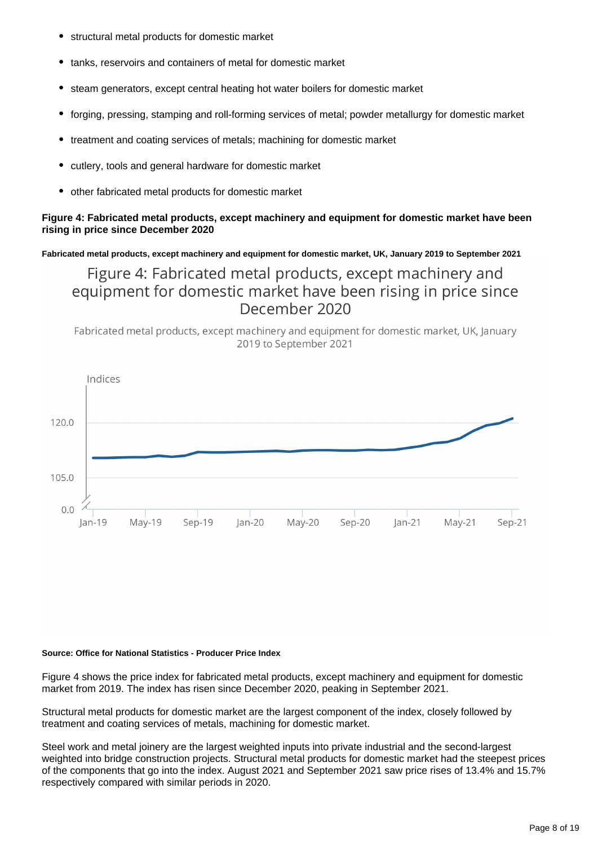- structural metal products for domestic market
- tanks, reservoirs and containers of metal for domestic market
- steam generators, except central heating hot water boilers for domestic market
- forging, pressing, stamping and roll-forming services of metal; powder metallurgy for domestic market  $\bullet$
- treatment and coating services of metals; machining for domestic market  $\bullet$
- cutlery, tools and general hardware for domestic market
- other fabricated metal products for domestic market

#### **Figure 4: Fabricated metal products, except machinery and equipment for domestic market have been rising in price since December 2020**

**Fabricated metal products, except machinery and equipment for domestic market, UK, January 2019 to September 2021**

## Figure 4: Fabricated metal products, except machinery and equipment for domestic market have been rising in price since December 2020

Fabricated metal products, except machinery and equipment for domestic market, UK, January 2019 to September 2021



#### **Source: Office for National Statistics - Producer Price Index**

Figure 4 shows the price index for fabricated metal products, except machinery and equipment for domestic market from 2019. The index has risen since December 2020, peaking in September 2021.

Structural metal products for domestic market are the largest component of the index, closely followed by treatment and coating services of metals, machining for domestic market.

Steel work and metal joinery are the largest weighted inputs into private industrial and the second-largest weighted into bridge construction projects. Structural metal products for domestic market had the steepest prices of the components that go into the index. August 2021 and September 2021 saw price rises of 13.4% and 15.7% respectively compared with similar periods in 2020.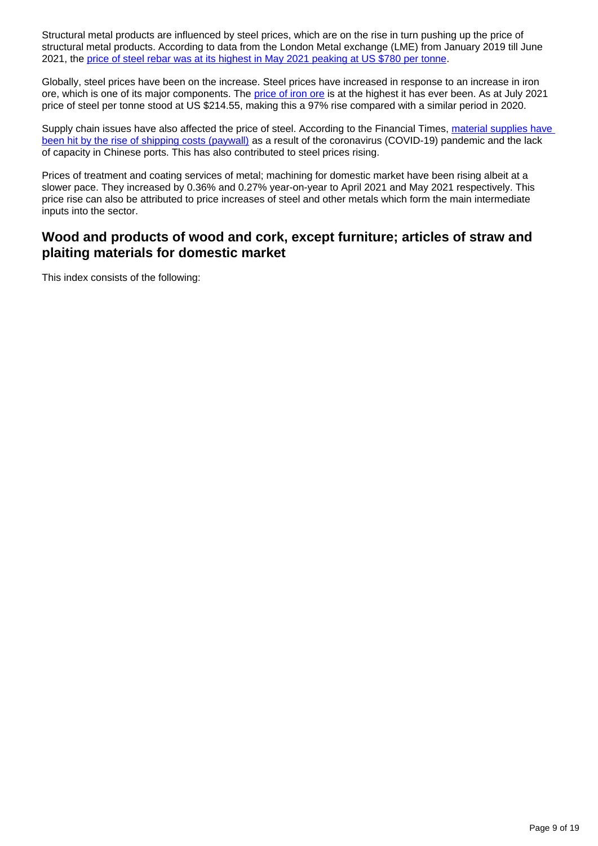Structural metal products are influenced by steel prices, which are on the rise in turn pushing up the price of structural metal products. According to data from the London Metal exchange (LME) from January 2019 till June 2021, the [price of steel rebar was at its highest in May 2021 peaking at US \\$780 per tonne.](https://www.lme.com/en/Metals/Ferrous/lme-Steel-Rebar#Trading+day+summary)

Globally, steel prices have been on the increase. Steel prices have increased in response to an increase in iron ore, which is one of its major components. The [price of iron ore](https://markets.ft.com/data/commodities/tearsheet/charts?c=Iron%20ore) is at the highest it has ever been. As at July 2021 price of steel per tonne stood at US \$214.55, making this a 97% rise compared with a similar period in 2020.

Supply chain issues have also affected the price of steel. According to the Financial Times, material supplies have [been hit by the rise of shipping costs \(paywall\)](https://www.ft.com/content/296d84a2-b73a-4bd0-b65b-6ef9883e6afc) as a result of the coronavirus (COVID-19) pandemic and the lack of capacity in Chinese ports. This has also contributed to steel prices rising.

Prices of treatment and coating services of metal; machining for domestic market have been rising albeit at a slower pace. They increased by 0.36% and 0.27% year-on-year to April 2021 and May 2021 respectively. This price rise can also be attributed to price increases of steel and other metals which form the main intermediate inputs into the sector.

### **Wood and products of wood and cork, except furniture; articles of straw and plaiting materials for domestic market**

This index consists of the following: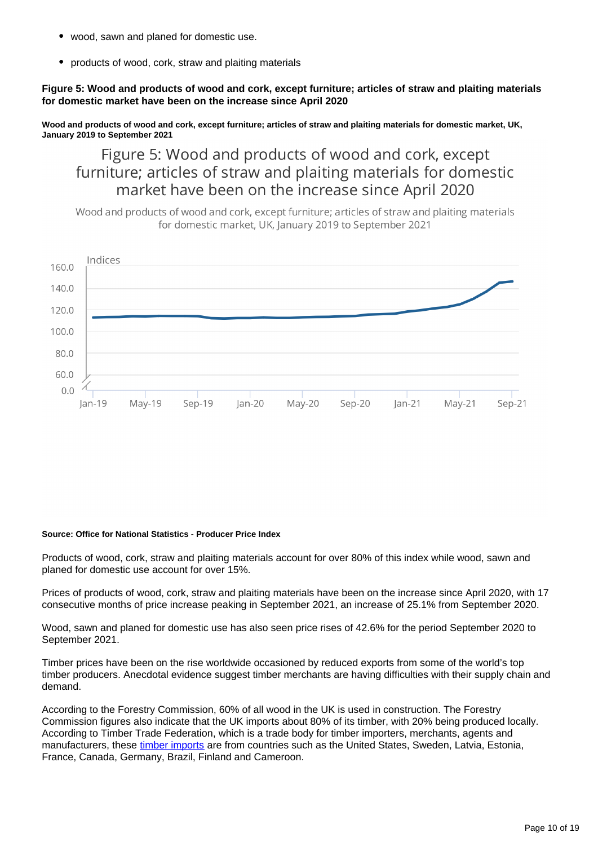- wood, sawn and planed for domestic use.
- products of wood, cork, straw and plaiting materials

**Figure 5: Wood and products of wood and cork, except furniture; articles of straw and plaiting materials for domestic market have been on the increase since April 2020**

**Wood and products of wood and cork, except furniture; articles of straw and plaiting materials for domestic market, UK, January 2019 to September 2021**

Figure 5: Wood and products of wood and cork, except furniture; articles of straw and plaiting materials for domestic market have been on the increase since April 2020

Wood and products of wood and cork, except furniture; articles of straw and plaiting materials for domestic market, UK, January 2019 to September 2021



#### **Source: Office for National Statistics - Producer Price Index**

Products of wood, cork, straw and plaiting materials account for over 80% of this index while wood, sawn and planed for domestic use account for over 15%.

Prices of products of wood, cork, straw and plaiting materials have been on the increase since April 2020, with 17 consecutive months of price increase peaking in September 2021, an increase of 25.1% from September 2020.

Wood, sawn and planed for domestic use has also seen price rises of 42.6% for the period September 2020 to September 2021.

Timber prices have been on the rise worldwide occasioned by reduced exports from some of the world's top timber producers. Anecdotal evidence suggest timber merchants are having difficulties with their supply chain and demand.

According to the Forestry Commission, 60% of all wood in the UK is used in construction. The Forestry Commission figures also indicate that the UK imports about 80% of its timber, with 20% being produced locally. According to Timber Trade Federation, which is a trade body for timber importers, merchants, agents and manufacturers, these [timber imports](https://ttf.co.uk/trade/statistics/) are from countries such as the United States, Sweden, Latvia, Estonia, France, Canada, Germany, Brazil, Finland and Cameroon.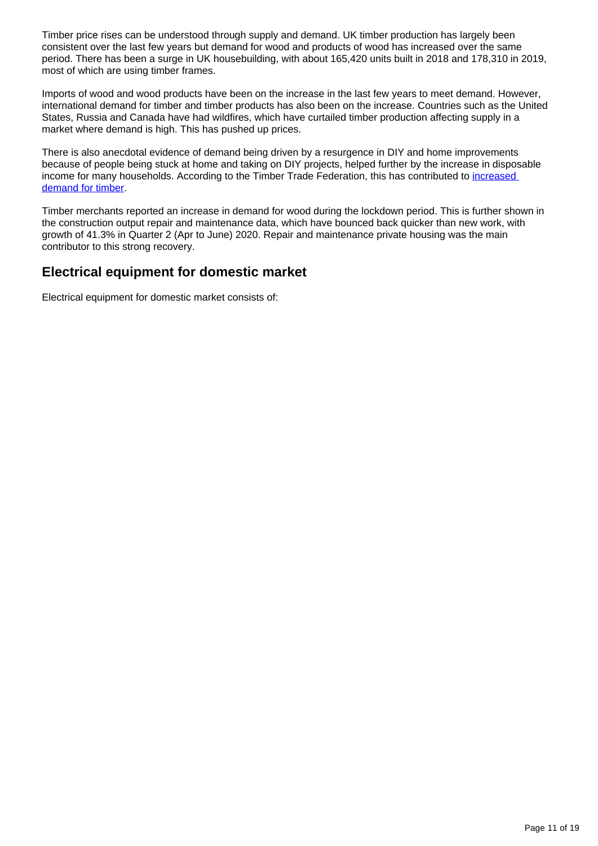Timber price rises can be understood through supply and demand. UK timber production has largely been consistent over the last few years but demand for wood and products of wood has increased over the same period. There has been a surge in UK housebuilding, with about 165,420 units built in 2018 and 178,310 in 2019, most of which are using timber frames.

Imports of wood and wood products have been on the increase in the last few years to meet demand. However, international demand for timber and timber products has also been on the increase. Countries such as the United States, Russia and Canada have had wildfires, which have curtailed timber production affecting supply in a market where demand is high. This has pushed up prices.

There is also anecdotal evidence of demand being driven by a resurgence in DIY and home improvements because of people being stuck at home and taking on DIY projects, helped further by the increase in disposable income for many households. According to the Timber Trade Federation, this has contributed to increased [demand for timber.](https://ttf.co.uk/download/ttf-market-statement-may-2021/)

Timber merchants reported an increase in demand for wood during the lockdown period. This is further shown in the construction output repair and maintenance data, which have bounced back quicker than new work, with growth of 41.3% in Quarter 2 (Apr to June) 2020. Repair and maintenance private housing was the main contributor to this strong recovery.

### **Electrical equipment for domestic market**

Electrical equipment for domestic market consists of: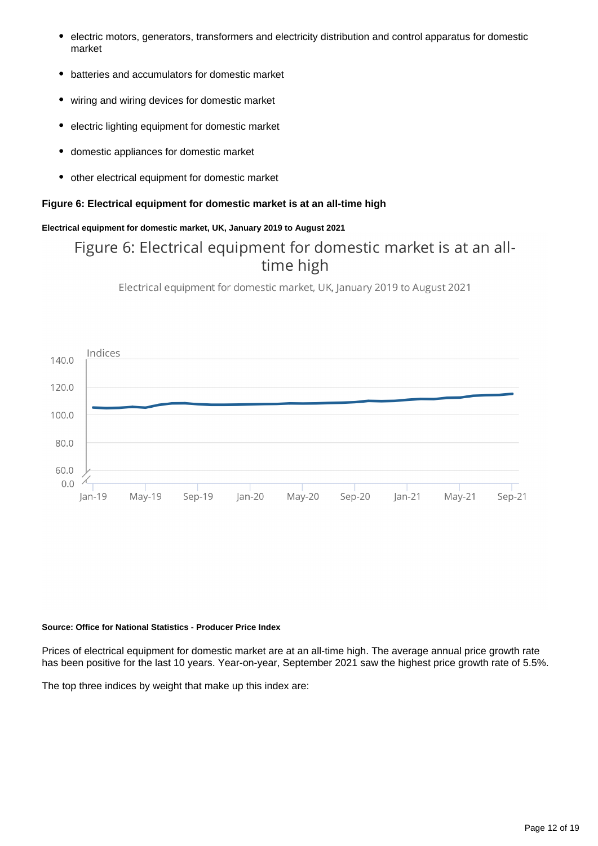- $\bullet$ electric motors, generators, transformers and electricity distribution and control apparatus for domestic market
- batteries and accumulators for domestic market
- wiring and wiring devices for domestic market
- electric lighting equipment for domestic market  $\bullet$
- domestic appliances for domestic market  $\bullet$
- other electrical equipment for domestic market

#### **Figure 6: Electrical equipment for domestic market is at an all-time high**

#### **Electrical equipment for domestic market, UK, January 2019 to August 2021**

## Figure 6: Electrical equipment for domestic market is at an alltime high

Electrical equipment for domestic market, UK, January 2019 to August 2021



#### **Source: Office for National Statistics - Producer Price Index**

Prices of electrical equipment for domestic market are at an all-time high. The average annual price growth rate has been positive for the last 10 years. Year-on-year, September 2021 saw the highest price growth rate of 5.5%.

The top three indices by weight that make up this index are: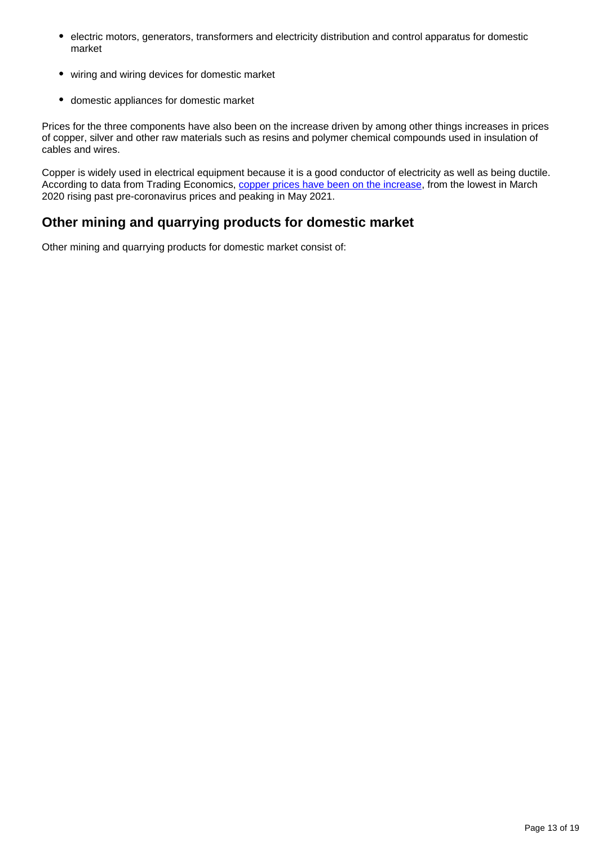- electric motors, generators, transformers and electricity distribution and control apparatus for domestic market
- wiring and wiring devices for domestic market
- domestic appliances for domestic market

Prices for the three components have also been on the increase driven by among other things increases in prices of copper, silver and other raw materials such as resins and polymer chemical compounds used in insulation of cables and wires.

Copper is widely used in electrical equipment because it is a good conductor of electricity as well as being ductile. According to data from Trading Economics, [copper prices have been on the increase](https://tradingeconomics.com/commodity/copper), from the lowest in March 2020 rising past pre-coronavirus prices and peaking in May 2021.

## **Other mining and quarrying products for domestic market**

Other mining and quarrying products for domestic market consist of: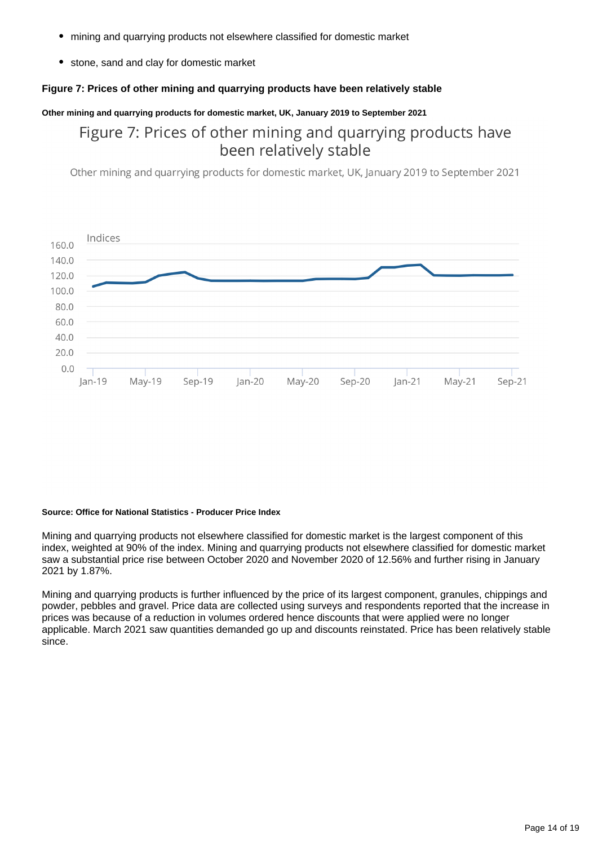- mining and quarrying products not elsewhere classified for domestic market
- stone, sand and clay for domestic market

#### **Figure 7: Prices of other mining and quarrying products have been relatively stable**

#### **Other mining and quarrying products for domestic market, UK, January 2019 to September 2021**

## Figure 7: Prices of other mining and quarrying products have been relatively stable

Other mining and quarrying products for domestic market, UK, January 2019 to September 2021



#### **Source: Office for National Statistics - Producer Price Index**

Mining and quarrying products not elsewhere classified for domestic market is the largest component of this index, weighted at 90% of the index. Mining and quarrying products not elsewhere classified for domestic market saw a substantial price rise between October 2020 and November 2020 of 12.56% and further rising in January 2021 by 1.87%.

Mining and quarrying products is further influenced by the price of its largest component, granules, chippings and powder, pebbles and gravel. Price data are collected using surveys and respondents reported that the increase in prices was because of a reduction in volumes ordered hence discounts that were applied were no longer applicable. March 2021 saw quantities demanded go up and discounts reinstated. Price has been relatively stable since.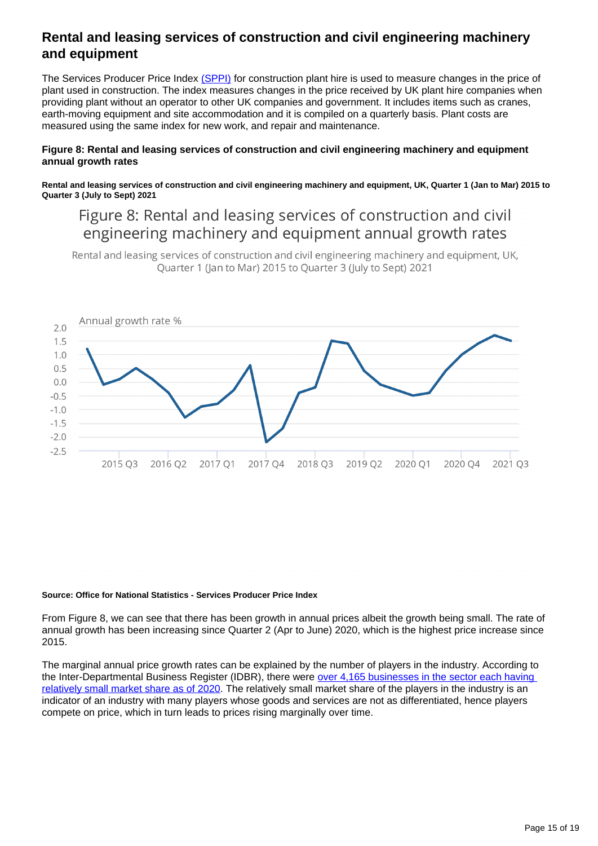## **Rental and leasing services of construction and civil engineering machinery and equipment**

The Services Producer Price Index [\(SPPI\)](https://www.ons.gov.uk/economy/inflationandpriceindices/bulletins/servicesproducerpriceindices/apriltojune2020) for construction plant hire is used to measure changes in the price of plant used in construction. The index measures changes in the price received by UK plant hire companies when providing plant without an operator to other UK companies and government. It includes items such as cranes, earth-moving equipment and site accommodation and it is compiled on a quarterly basis. Plant costs are measured using the same index for new work, and repair and maintenance.

#### **Figure 8: Rental and leasing services of construction and civil engineering machinery and equipment annual growth rates**

**Rental and leasing services of construction and civil engineering machinery and equipment, UK, Quarter 1 (Jan to Mar) 2015 to Quarter 3 (July to Sept) 2021**

## Figure 8: Rental and leasing services of construction and civil engineering machinery and equipment annual growth rates

Rental and leasing services of construction and civil engineering machinery and equipment, UK, Quarter 1 (Jan to Mar) 2015 to Quarter 3 (July to Sept) 2021



#### **Source: Office for National Statistics - Services Producer Price Index**

From Figure 8, we can see that there has been growth in annual prices albeit the growth being small. The rate of annual growth has been increasing since Quarter 2 (Apr to June) 2020, which is the highest price increase since 2015.

The marginal annual price growth rates can be explained by the number of players in the industry. According to the Inter-Departmental Business Register (IDBR), there were [over 4,165 businesses in the sector each having](https://www.ons.gov.uk/businessindustryandtrade/business/activitysizeandlocation/datasets/ukbusinessactivitysizeandlocation)  [relatively small market share as of 2020](https://www.ons.gov.uk/businessindustryandtrade/business/activitysizeandlocation/datasets/ukbusinessactivitysizeandlocation). The relatively small market share of the players in the industry is an indicator of an industry with many players whose goods and services are not as differentiated, hence players compete on price, which in turn leads to prices rising marginally over time.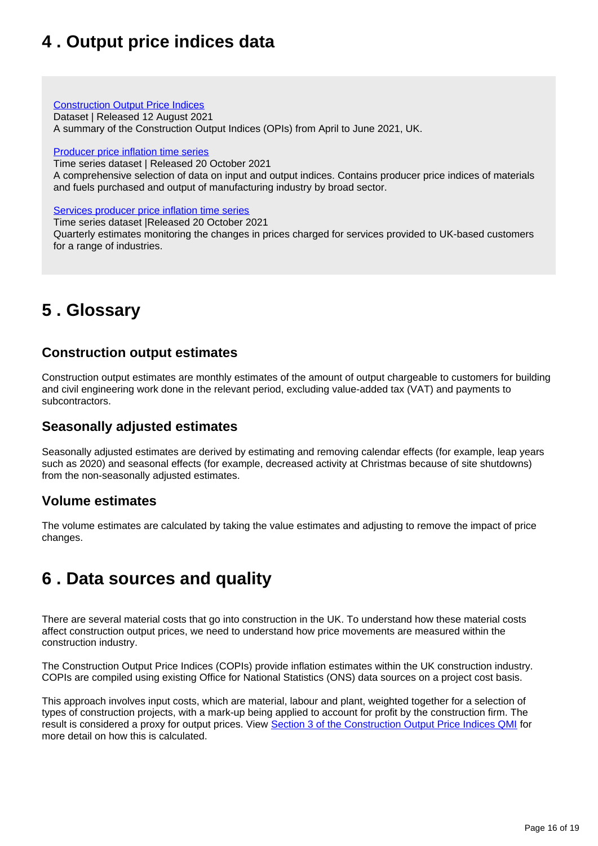## <span id="page-15-0"></span>**4 . Output price indices data**

#### [Construction Output Price Indices](https://www.ons.gov.uk/businessindustryandtrade/constructionindustry/datasets/interimconstructionoutputpriceindices)

Dataset | Released 12 August 2021

A summary of the Construction Output Indices (OPIs) from April to June 2021, UK.

#### [Producer price inflation time series](https://www.ons.gov.uk/economy/inflationandpriceindices/datasets/producerpriceindexstatisticalbulletindataset)

Time series dataset | Released 20 October 2021 A comprehensive selection of data on input and output indices. Contains producer price indices of materials and fuels purchased and output of manufacturing industry by broad sector.

[Services producer price inflation time series](https://www.ons.gov.uk/economy/inflationandpriceindices/datasets/serviceproducerpriceindices)

Time series dataset |Released 20 October 2021 Quarterly estimates monitoring the changes in prices charged for services provided to UK-based customers for a range of industries.

## <span id="page-15-1"></span>**5 . Glossary**

## **Construction output estimates**

Construction output estimates are monthly estimates of the amount of output chargeable to customers for building and civil engineering work done in the relevant period, excluding value-added tax (VAT) and payments to subcontractors.

### **Seasonally adjusted estimates**

Seasonally adjusted estimates are derived by estimating and removing calendar effects (for example, leap years such as 2020) and seasonal effects (for example, decreased activity at Christmas because of site shutdowns) from the non-seasonally adjusted estimates.

### **Volume estimates**

The volume estimates are calculated by taking the value estimates and adjusting to remove the impact of price changes.

## <span id="page-15-2"></span>**6 . Data sources and quality**

There are several material costs that go into construction in the UK. To understand how these material costs affect construction output prices, we need to understand how price movements are measured within the construction industry.

The Construction Output Price Indices (COPIs) provide inflation estimates within the UK construction industry. COPIs are compiled using existing Office for National Statistics (ONS) data sources on a project cost basis.

This approach involves input costs, which are material, labour and plant, weighted together for a selection of types of construction projects, with a mark-up being applied to account for profit by the construction firm. The result is considered a proxy for output prices. View [Section 3 of the Construction Output Price Indices QMI](https://www.ons.gov.uk/businessindustryandtrade/constructionindustry/methodologies/constructionoutputpriceindicesopisqmi#overview-of-the-output) for more detail on how this is calculated.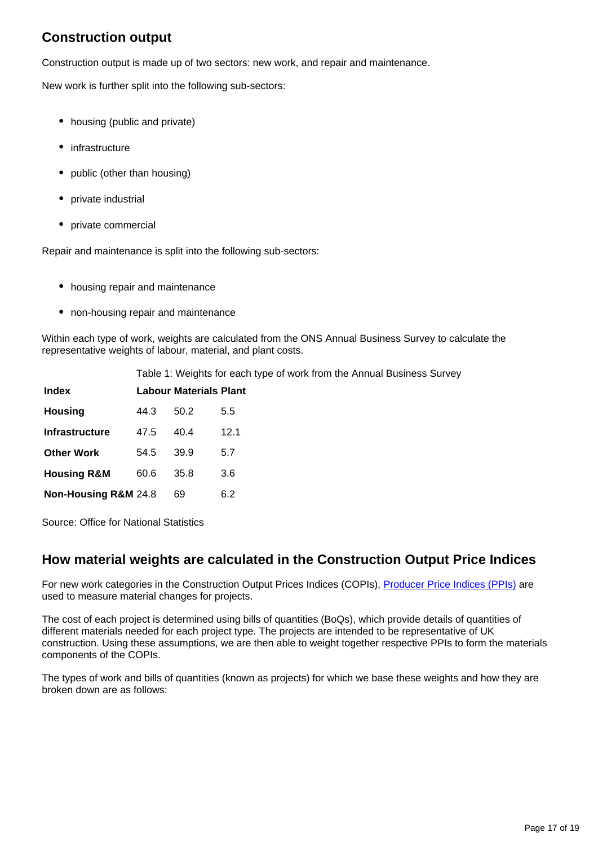## **Construction output**

Construction output is made up of two sectors: new work, and repair and maintenance.

New work is further split into the following sub-sectors:

- housing (public and private)
- infrastructure
- public (other than housing)
- private industrial
- private commercial

Repair and maintenance is split into the following sub-sectors:

- housing repair and maintenance
- non-housing repair and maintenance

Within each type of work, weights are calculated from the ONS Annual Business Survey to calculate the representative weights of labour, material, and plant costs.

|                        | Table 1: Weights for each type of work from the Annual Business Survey |                               |               |
|------------------------|------------------------------------------------------------------------|-------------------------------|---------------|
| <b>Index</b>           |                                                                        | <b>Labour Materials Plant</b> |               |
| <b>Housing</b>         | 44.3                                                                   | 50.2                          | $5.5^{\circ}$ |
| <b>Infrastructure</b>  | 47.5                                                                   | 40.4                          | 12.1          |
| <b>Other Work</b>      | 54.5                                                                   | 39.9                          | 5.7           |
| <b>Housing R&amp;M</b> | 60.6                                                                   | 35.8                          | 3.6           |
| Non-Housing R&M 24.8   |                                                                        | 69                            | 6.2           |

Source: Office for National Statistics

### **How material weights are calculated in the Construction Output Price Indices**

For new work categories in the Construction Output Prices Indices (COPIs), [Producer Price Indices \(PPIs\)](https://www.ons.gov.uk/businessindustryandtrade/constructionindustry/methodologies/constructionoutputqualityandmethodologyinformation) are used to measure material changes for projects.

The cost of each project is determined using bills of quantities (BoQs), which provide details of quantities of different materials needed for each project type. The projects are intended to be representative of UK construction. Using these assumptions, we are then able to weight together respective PPIs to form the materials components of the COPIs.

The types of work and bills of quantities (known as projects) for which we base these weights and how they are broken down are as follows: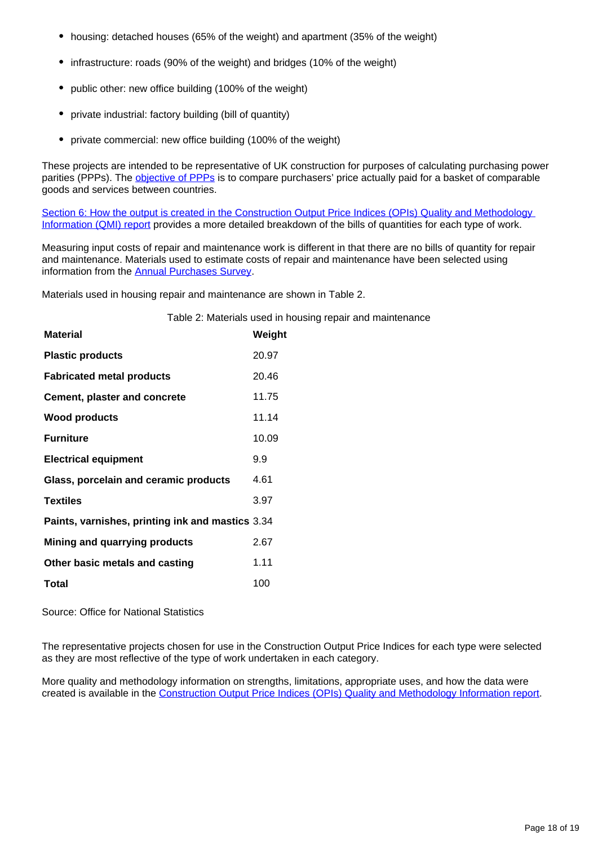- housing: detached houses (65% of the weight) and apartment (35% of the weight)
- infrastructure: roads (90% of the weight) and bridges (10% of the weight)
- public other: new office building (100% of the weight)
- private industrial: factory building (bill of quantity)  $\bullet$
- private commercial: new office building (100% of the weight)  $\bullet$

These projects are intended to be representative of UK construction for purposes of calculating purchasing power parities (PPPs). The [objective of PPPs](https://www.ons.gov.uk/businessindustryandtrade/constructionindustry/methodologies/constructionoutputpriceindicesopisqmi#how-the-output-is-created) is to compare purchasers' price actually paid for a basket of comparable goods and services between countries.

Section 6: How the output is created in the Construction Output Price Indices (OPIs) Quality and Methodology [Information \(QMI\) report](https://www.ons.gov.uk/businessindustryandtrade/constructionindustry/methodologies/constructionoutputpriceindicesopisqmi) provides a more detailed breakdown of the bills of quantities for each type of work.

Measuring input costs of repair and maintenance work is different in that there are no bills of quantity for repair and maintenance. Materials used to estimate costs of repair and maintenance have been selected using information from the [Annual Purchases Survey.](https://www.ons.gov.uk/surveys/informationforbusinesses/businesssurveys/annualpurchasessurvey)

Materials used in housing repair and maintenance are shown in Table 2.

|                                                  | Table 2: Materials used in housing repair and maintenance |  |  |
|--------------------------------------------------|-----------------------------------------------------------|--|--|
| <b>Material</b>                                  | Weight                                                    |  |  |
| <b>Plastic products</b>                          | 20.97                                                     |  |  |
| <b>Fabricated metal products</b>                 | 20.46                                                     |  |  |
| Cement, plaster and concrete                     | 11.75                                                     |  |  |
| <b>Wood products</b>                             | 11.14                                                     |  |  |
| <b>Furniture</b>                                 | 10.09                                                     |  |  |
| <b>Electrical equipment</b>                      | 9.9                                                       |  |  |
| Glass, porcelain and ceramic products            | 4.61                                                      |  |  |
| <b>Textiles</b>                                  | 3.97                                                      |  |  |
| Paints, varnishes, printing ink and mastics 3.34 |                                                           |  |  |
| Mining and quarrying products                    | 2.67                                                      |  |  |
| Other basic metals and casting                   | 1.11                                                      |  |  |
| <b>Total</b>                                     | 100                                                       |  |  |

Source: Office for National Statistics

The representative projects chosen for use in the Construction Output Price Indices for each type were selected as they are most reflective of the type of work undertaken in each category.

More quality and methodology information on strengths, limitations, appropriate uses, and how the data were created is available in the [Construction Output Price Indices \(OPIs\) Quality and Methodology Information report](https://www.ons.gov.uk/businessindustryandtrade/constructionindustry/methodologies/constructionoutputpriceindicesopisqmi).